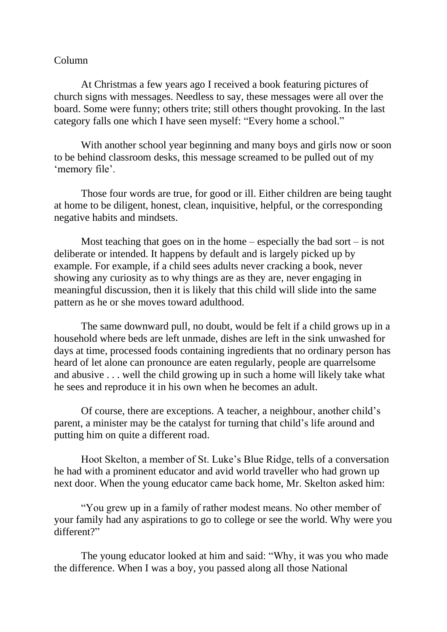## Column

At Christmas a few years ago I received a book featuring pictures of church signs with messages. Needless to say, these messages were all over the board. Some were funny; others trite; still others thought provoking. In the last category falls one which I have seen myself: "Every home a school."

With another school year beginning and many boys and girls now or soon to be behind classroom desks, this message screamed to be pulled out of my 'memory file'.

Those four words are true, for good or ill. Either children are being taught at home to be diligent, honest, clean, inquisitive, helpful, or the corresponding negative habits and mindsets.

Most teaching that goes on in the home – especially the bad sort – is not deliberate or intended. It happens by default and is largely picked up by example. For example, if a child sees adults never cracking a book, never showing any curiosity as to why things are as they are, never engaging in meaningful discussion, then it is likely that this child will slide into the same pattern as he or she moves toward adulthood.

The same downward pull, no doubt, would be felt if a child grows up in a household where beds are left unmade, dishes are left in the sink unwashed for days at time, processed foods containing ingredients that no ordinary person has heard of let alone can pronounce are eaten regularly, people are quarrelsome and abusive . . . well the child growing up in such a home will likely take what he sees and reproduce it in his own when he becomes an adult.

Of course, there are exceptions. A teacher, a neighbour, another child's parent, a minister may be the catalyst for turning that child's life around and putting him on quite a different road.

Hoot Skelton, a member of St. Luke's Blue Ridge, tells of a conversation he had with a prominent educator and avid world traveller who had grown up next door. When the young educator came back home, Mr. Skelton asked him:

"You grew up in a family of rather modest means. No other member of your family had any aspirations to go to college or see the world. Why were you different?"

The young educator looked at him and said: "Why, it was you who made the difference. When I was a boy, you passed along all those National